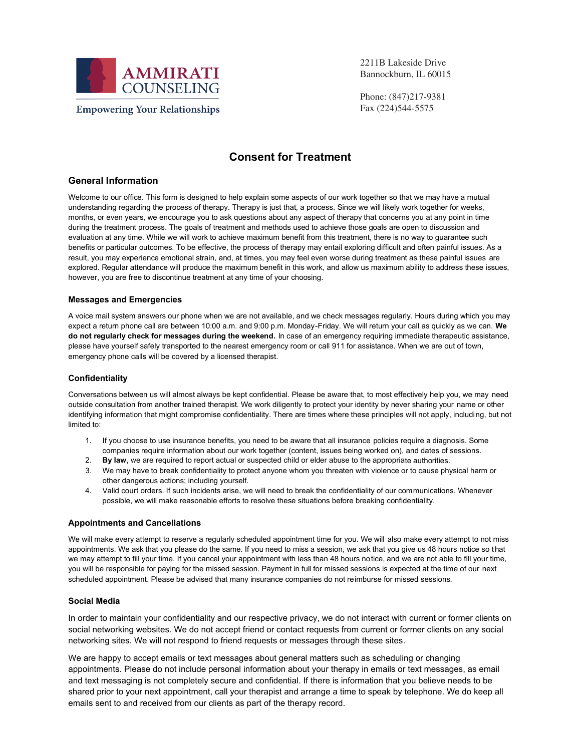

2211B Lakeside Drive Bannockburn, IL 60015

Phone: (847)217-9381 Fax (224)544-5575

## **Consent for Treatment**

## **General Information**

Welcome to our office. This form is designed to help explain some aspects of our work together so that we may have a mutual understanding regarding the process of therapy. Therapy is just that, a process. Since we will likely work together for weeks, months, or even years, we encourage you to ask questions about any aspect of therapy that concerns you at any point in time during the treatment process. The goals of treatment and methods used to achieve those goals are open to discussion and evaluation at any time. While we will work to achieve maximum benefit from this treatment, there is no way to guarantee such benefits or particular outcomes. To be effective, the process of therapy may entail exploring difficult and often painful issues. As a result, you may experience emotional strain, and, at times, you may feel even worse during treatment as these painful issues are explored. Regular attendance will produce the maximum benefit in this work, and allow us maximum ability to address these issues, however, you are free to discontinue treatment at any time of your choosing.

### **Messages and Emergencies**

A voice mail system answers our phone when we are not available, and we check messages regularly. Hours during which you may expect a return phone call are between 10:00 a.m. and 9:00 p.m. Monday-Friday. We will return your call as quickly as we can. **We do not regularly check for messages during the weekend.** In case of an emergency requiring immediate therapeutic assistance, please have yourself safely transported to the nearest emergency room or call 911 for assistance. When we are out of town, emergency phone calls will be covered by a licensed therapist.

#### **Confidentiality**

Conversations between us will almost always be kept confidential. Please be aware that, to most effectively help you, we may need outside consultation from another trained therapist. We work diligently to protect your identity by never sharing your name or other identifying information that might compromise confidentiality. There are times where these principles will not apply, including, but not limited to:

- 1. If you choose to use insurance benefits, you need to be aware that all insurance policies require a diagnosis. Some companies require information about our work together (content, issues being worked on), and dates of sessions.
- 2. **By law**, we are required to report actual or suspected child or elder abuse to the appropriate authorities.
- 3. We may have to break confidentiality to protect anyone whom you threaten with violence or to cause physical harm or other dangerous actions; including yourself.
- 4. Valid court orders. If such incidents arise, we will need to break the confidentiality of our communications. Whenever possible, we will make reasonable efforts to resolve these situations before breaking confidentiality.

#### **Appointments and Cancellations**

We will make every attempt to reserve a regularly scheduled appointment time for you. We will also make every attempt to not miss appointments. We ask that you please do the same. If you need to miss a session, we ask that you give us 48 hours notice so that we may attempt to fill your time. If you cancel your appointment with less than 48 hours notice, and we are not able to fill your time, you will be responsible for paying for the missed session. Payment in full for missed sessions is expected at the time of our next scheduled appointment. Please be advised that many insurance companies do not reimburse for missed sessions.

#### **Social Media**

In order to maintain your confidentiality and our respective privacy, we do not interact with current or former clients on social networking websites. We do not accept friend or contact requests from current or former clients on any social networking sites. We will not respond to friend requests or messages through these sites.

We are happy to accept emails or text messages about general matters such as scheduling or changing appointments. Please do not include personal information about your therapy in emails or text messages, as email and text messaging is not completely secure and confidential. If there is information that you believe needs to be shared prior to your next appointment, call your therapist and arrange a time to speak by telephone. We do keep all emails sent to and received from our clients as part of the therapy record.